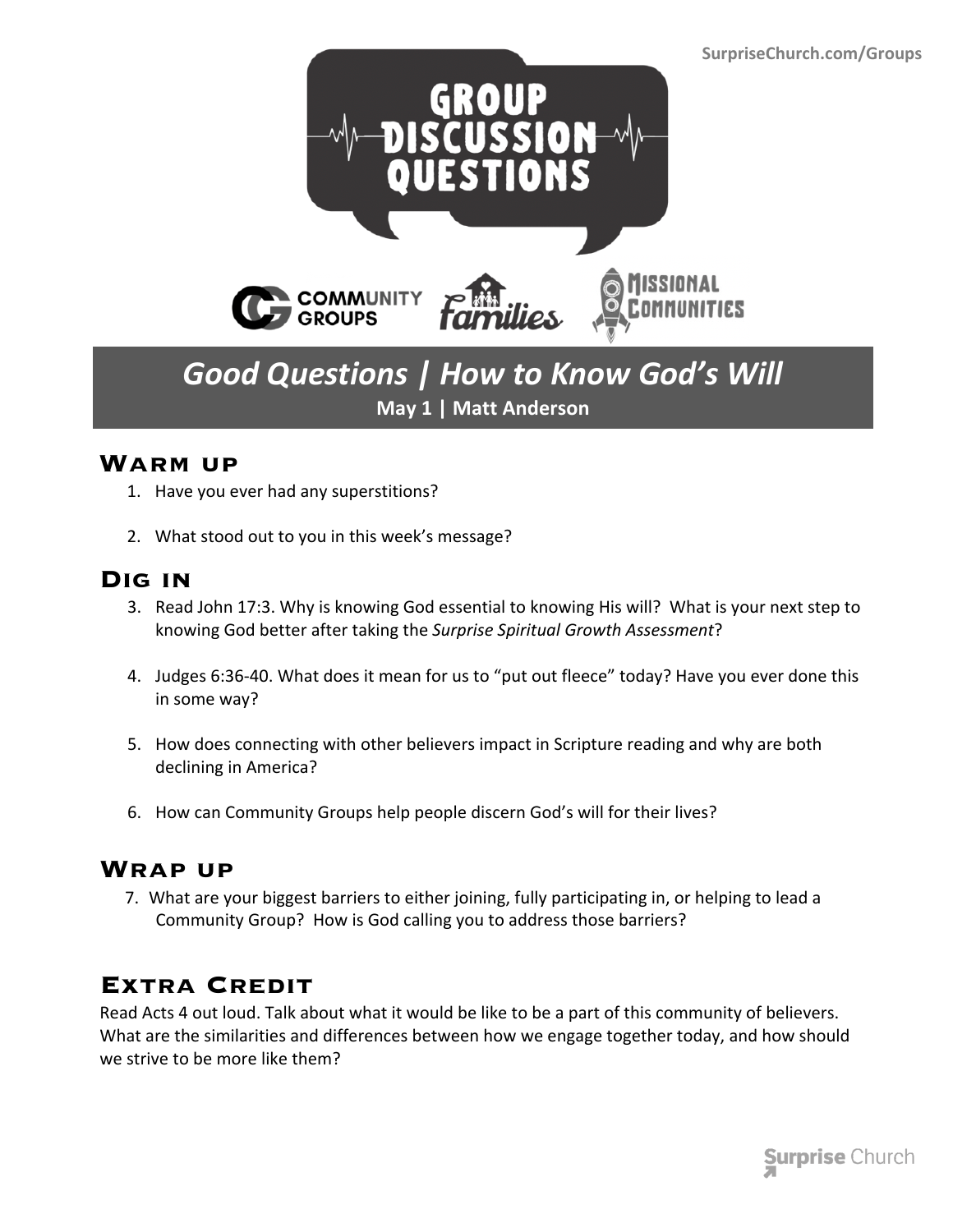

# *Good Questions | How to Know God's Will* **May 1 | Matt Anderson**

### **Warm up**

- 1. Have you ever had any superstitions?
- 2. What stood out to you in this week's message?

## **Dig in**

- 3. Read John 17:3. Why is knowing God essential to knowing His will? What is your next step to knowing God better after taking the *Surprise Spiritual Growth Assessment*?
- 4. Judges 6:36-40. What does it mean for us to "put out fleece" today? Have you ever done this in some way?
- 5. How does connecting with other believers impact in Scripture reading and why are both declining in America?
- 6. How can Community Groups help people discern God's will for their lives?

### **Wrap up**

 7. What are your biggest barriers to either joining, fully participating in, or helping to lead a Community Group? How is God calling you to address those barriers?

## **Extra Credit**

Read Acts 4 out loud. Talk about what it would be like to be a part of this community of believers. What are the similarities and differences between how we engage together today, and how should we strive to be more like them?